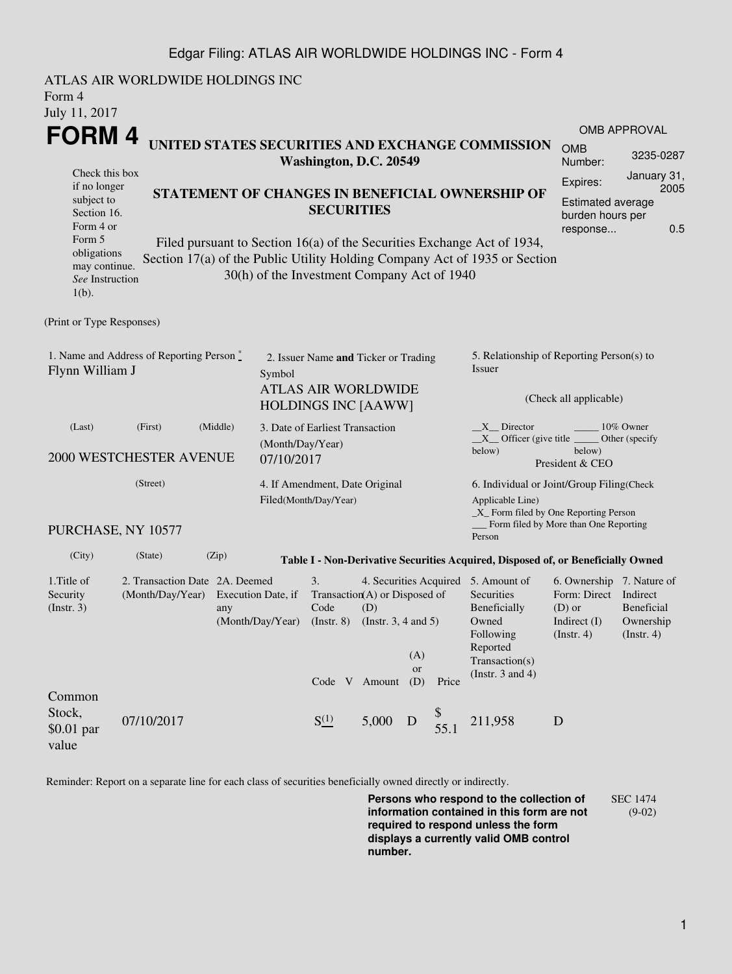## Edgar Filing: ATLAS AIR WORLDWIDE HOLDINGS INC - Form 4

| Form 4<br>July 11, 2017                                                                                                                                                                                                                                                                                                                                                                                                           | ATLAS AIR WORLDWIDE HOLDINGS INC                                           |                                                |                                        |                                                                                                  |                                                  |                         |                                                                                             |                                                                                                                                                                                                                                    |                                                                                        |                                                           |  |  |
|-----------------------------------------------------------------------------------------------------------------------------------------------------------------------------------------------------------------------------------------------------------------------------------------------------------------------------------------------------------------------------------------------------------------------------------|----------------------------------------------------------------------------|------------------------------------------------|----------------------------------------|--------------------------------------------------------------------------------------------------|--------------------------------------------------|-------------------------|---------------------------------------------------------------------------------------------|------------------------------------------------------------------------------------------------------------------------------------------------------------------------------------------------------------------------------------|----------------------------------------------------------------------------------------|-----------------------------------------------------------|--|--|
| <b>FORM4</b>                                                                                                                                                                                                                                                                                                                                                                                                                      |                                                                            |                                                |                                        |                                                                                                  |                                                  |                         |                                                                                             |                                                                                                                                                                                                                                    |                                                                                        | OMB APPROVAL                                              |  |  |
|                                                                                                                                                                                                                                                                                                                                                                                                                                   | UNITED STATES SECURITIES AND EXCHANGE COMMISSION<br>Washington, D.C. 20549 |                                                |                                        |                                                                                                  |                                                  | <b>OMB</b><br>Number:   | 3235-0287                                                                                   |                                                                                                                                                                                                                                    |                                                                                        |                                                           |  |  |
| Check this box<br>if no longer<br>STATEMENT OF CHANGES IN BENEFICIAL OWNERSHIP OF<br>subject to<br><b>SECURITIES</b><br>Section 16.<br>Form 4 or<br>Form 5<br>Filed pursuant to Section 16(a) of the Securities Exchange Act of 1934,<br>obligations<br>Section 17(a) of the Public Utility Holding Company Act of 1935 or Section<br>may continue.<br>30(h) of the Investment Company Act of 1940<br>See Instruction<br>$1(b)$ . |                                                                            |                                                |                                        |                                                                                                  |                                                  |                         | January 31,<br>Expires:<br>2005<br>Estimated average<br>burden hours per<br>0.5<br>response |                                                                                                                                                                                                                                    |                                                                                        |                                                           |  |  |
| (Print or Type Responses)                                                                                                                                                                                                                                                                                                                                                                                                         |                                                                            |                                                |                                        |                                                                                                  |                                                  |                         |                                                                                             |                                                                                                                                                                                                                                    |                                                                                        |                                                           |  |  |
| 1. Name and Address of Reporting Person $\stackrel{*}{\mathbb{L}}$<br>Flynn William J<br>Symbol                                                                                                                                                                                                                                                                                                                                   |                                                                            |                                                |                                        | 2. Issuer Name and Ticker or Trading<br><b>ATLAS AIR WORLDWIDE</b><br><b>HOLDINGS INC [AAWW]</b> |                                                  |                         |                                                                                             | 5. Relationship of Reporting Person(s) to<br>Issuer<br>(Check all applicable)                                                                                                                                                      |                                                                                        |                                                           |  |  |
| (Middle)<br>(Last)<br>(First)<br>(Month/Day/Year)<br>2000 WESTCHESTER AVENUE<br>07/10/2017                                                                                                                                                                                                                                                                                                                                        |                                                                            |                                                |                                        | 3. Date of Earliest Transaction                                                                  |                                                  |                         |                                                                                             | X Director<br>10% Owner<br>$X$ Officer (give title $\equiv$<br>Other (specify<br>below)<br>below)<br>President & CEO                                                                                                               |                                                                                        |                                                           |  |  |
|                                                                                                                                                                                                                                                                                                                                                                                                                                   | (Street)<br>PURCHASE, NY 10577                                             |                                                |                                        | 4. If Amendment, Date Original<br>Filed(Month/Day/Year)                                          |                                                  |                         |                                                                                             | 6. Individual or Joint/Group Filing(Check<br>Applicable Line)<br>_X_ Form filed by One Reporting Person<br>Form filed by More than One Reporting<br>Person                                                                         |                                                                                        |                                                           |  |  |
|                                                                                                                                                                                                                                                                                                                                                                                                                                   |                                                                            |                                                |                                        |                                                                                                  |                                                  |                         |                                                                                             |                                                                                                                                                                                                                                    |                                                                                        |                                                           |  |  |
| (City)<br>1. Title of<br>Security<br>$($ Instr. 3 $)$                                                                                                                                                                                                                                                                                                                                                                             | (State)<br>(Month/Day/Year)                                                | (Zip)<br>2. Transaction Date 2A. Deemed<br>any | Execution Date, if<br>(Month/Day/Year) | 3.<br>Transaction(A) or Disposed of<br>Code<br>$($ Instr. 8 $)$                                  | (D)<br>(Instr. $3, 4$ and $5$ )<br>Code V Amount | (A)<br><b>or</b><br>(D) | Price                                                                                       | Table I - Non-Derivative Securities Acquired, Disposed of, or Beneficially Owned<br>4. Securities Acquired 5. Amount of<br>Securities<br>Beneficially<br>Owned<br>Following<br>Reported<br>Transaction(s)<br>(Instr. $3$ and $4$ ) | 6. Ownership 7. Nature of<br>Form: Direct<br>$(D)$ or<br>Indirect $(I)$<br>(Insert. 4) | Indirect<br><b>Beneficial</b><br>Ownership<br>(Insert. 4) |  |  |
| Common<br>Stock,<br>$$0.01$ par<br>value                                                                                                                                                                                                                                                                                                                                                                                          | 07/10/2017                                                                 |                                                |                                        | $S^{(1)}_{-}$                                                                                    | 5,000                                            | D                       | \$<br>55.1                                                                                  | 211,958                                                                                                                                                                                                                            | D                                                                                      |                                                           |  |  |

Reminder: Report on a separate line for each class of securities beneficially owned directly or indirectly.

**Persons who respond to the collection of information contained in this form are not required to respond unless the form displays a currently valid OMB control number.** SEC 1474 (9-02)